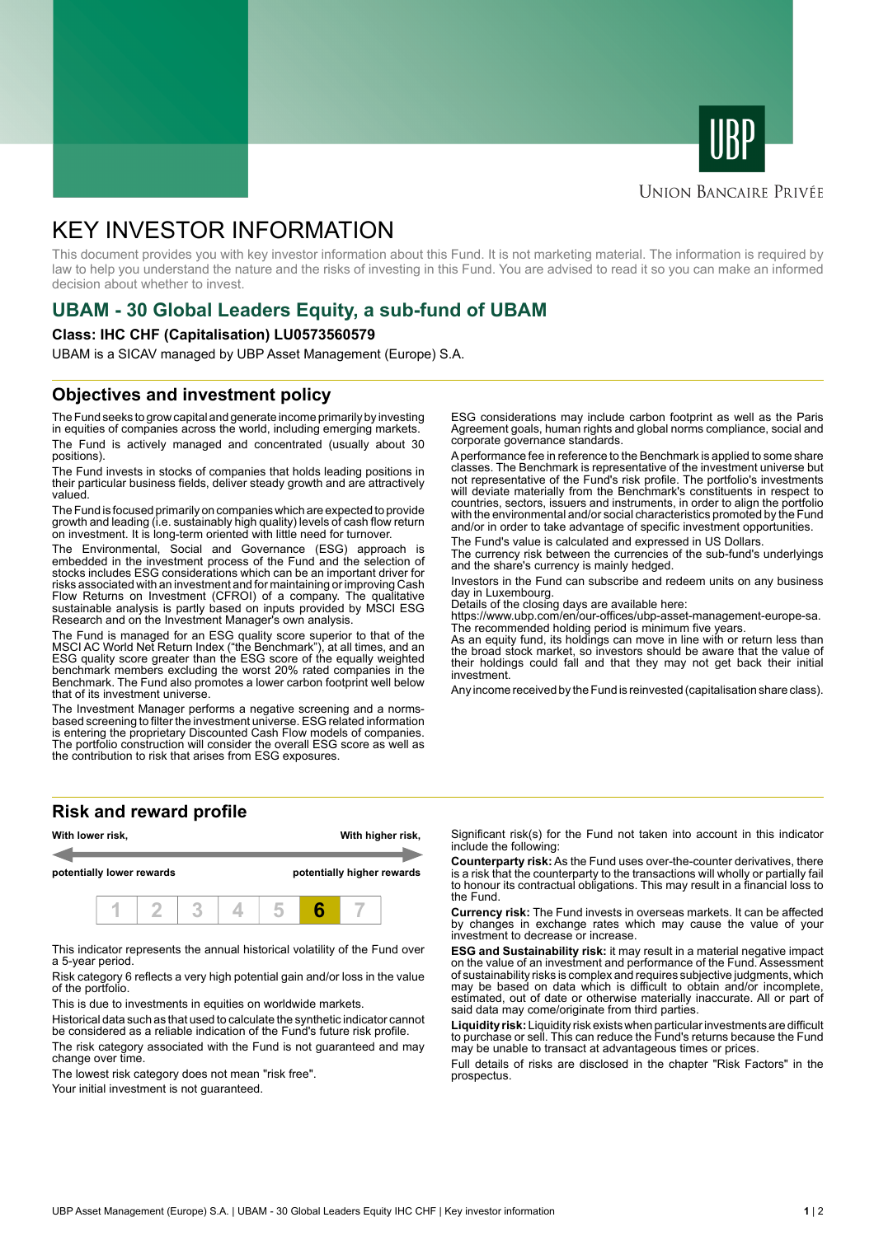



#### **UNION BANCAIRE PRIVÉE**

# KEY INVESTOR INFORMATION

This document provides you with key investor information about this Fund. It is not marketing material. The information is required by law to help you understand the nature and the risks of investing in this Fund. You are advised to read it so you can make an informed decision about whether to invest.

# **UBAM - 30 Global Leaders Equity, a sub-fund of UBAM**

#### **Class: IHC CHF (Capitalisation) LU0573560579**

UBAM is a SICAV managed by UBP Asset Management (Europe) S.A.

## **Objectives and investment policy**

The Fund seeks to grow capital and generate income primarily by investing in equities of companies across the world, including emerging markets. The Fund is actively managed and concentrated (usually about 30 positions).

The Fund invests in stocks of companies that holds leading positions in their particular business fields, deliver steady growth and are attractively valued.

The Fund is focused primarily on companies which are expected to provide growth and leading (i.e. sustainably high quality) levels of cash flow return on investment. It is long-term oriented with little need for turnover.

The Environmental, Social and Governance (ESG) approach is embedded in the investment process of the Fund and the selection of stocks includes ESG considerations which can be an important driver for risks associated with an investment and for maintaining or improving Cash Flow Returns on Investment (CFROI) of a company. The qualitative sustainable analysis is partly based on inputs provided by MSCI ESG Research and on the Investment Manager's own analysis.

The Fund is managed for an ESG quality score superior to that of the MSCI AC World Net Return Index ("the Benchmark"), at all times, and an ESG quality score greater than the ESG score of the equally weighted benchmark members excluding the worst 20% rated companies in the Benchmark. The Fund also promotes a lower carbon footprint well below that of its investment universe.

The Investment Manager performs a negative screening and a normsbased screening to filter the investment universe. ESG related information is entering the proprietary Discounted Cash Flow models of companies. The portfolio construction will consider the overall ESG score as well as the contribution to risk that arises from ESG exposures.

ESG considerations may include carbon footprint as well as the Paris Agreement goals, human rights and global norms compliance, social and corporate governance standards.

A performance fee in reference to the Benchmark is applied to some share classes. The Benchmark is representative of the investment universe but not representative of the Fund's risk profile. The portfolio's investments will deviate materially from the Benchmark's constituents in respect to countries, sectors, issuers and instruments, in order to align the portfolio with the environmental and/or social characteristics promoted by the Fund and/or in order to take advantage of specific investment opportunities.

The Fund's value is calculated and expressed in US Dollars.

The currency risk between the currencies of the sub-fund's underlyings and the share's currency is mainly hedged.

Investors in the Fund can subscribe and redeem units on any business day in Luxembourg.

Details of the closing days are available here:

https://www.ubp.com/en/our-offices/ubp-asset-management-europe-sa. The recommended holding period is minimum five years.

As an equity fund, its holdings can move in line with or return less than the broad stock market, so investors should be aware that the value of their holdings could fall and that they may not get back their initial investment.

Any income received by the Fund is reinvested (capitalisation share class).

## **Risk and reward profile**



This indicator represents the annual historical volatility of the Fund over a 5-year period.

Risk category 6 reflects a very high potential gain and/or loss in the value of the portfolio.

This is due to investments in equities on worldwide markets.

Historical data such as that used to calculate the synthetic indicator cannot be considered as a reliable indication of the Fund's future risk profile.

The risk category associated with the Fund is not guaranteed and may change over time.

The lowest risk category does not mean "risk free".

Your initial investment is not quaranteed.

Significant risk(s) for the Fund not taken into account in this indicator include the following:

**Counterparty risk:** As the Fund uses over-the-counter derivatives, there is a risk that the counterparty to the transactions will wholly or partially fail to honour its contractual obligations. This may result in a financial loss to the Fund.

**Currency risk:** The Fund invests in overseas markets. It can be affected by changes in exchange rates which may cause the value of your investment to decrease or increase.

**ESG and Sustainability risk:** it may result in a material negative impact on the value of an investment and performance of the Fund. Assessment of sustainability risks is complex and requires subjective judgments, which may be based on data which is difficult to obtain and/or incomplete, estimated, out of date or otherwise materially inaccurate. All or part of said data may come/originate from third parties.

**Liquidity risk:** Liquidity risk exists when particular investments are difficult to purchase or sell. This can reduce the Fund's returns because the Fund may be unable to transact at advantageous times or prices.

Full details of risks are disclosed in the chapter "Risk Factors" in the prospectus.